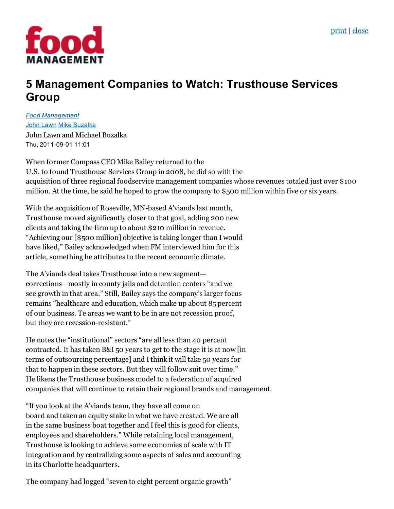

## 5 Management Companies to Watch: Trusthouse Services Group

*Food [Management](http://food-management.com/food-management)* John [Lawn](http://food-management.com/author/john-lawn) Mike [Buzalka](http://food-management.com/author/mike-buzalka) John Lawn and Michael Buzalka Thu, 2011-09-01 11:01

When former Compass CEO Mike Bailey returned to the U.S. to found Trusthouse Services Group in 2008, he did so with the acquisition of three regional foodservice management companies whose revenues totaled just over \$100 million. At the time, he said he hoped to grow the company to \$500 million within five or six years.

With the acquisition of Roseville, MN-based A'viands last month, Trusthouse moved significantly closer to that goal, adding 200 new clients and taking the firm up to about \$210 million in revenue. "Achieving our [\$500 million] objective is taking longer than I would have liked," Bailey acknowledged when FM interviewed him for this article, something he attributes to the recent economic climate.

The A'viands deal takes Trusthouse into a new segment corrections—mostly in county jails and detention centers "and we see growth in that area." Still, Bailey says the company's larger focus remains "healthcare and education, which make up about 85 percent of our business. Te areas we want to be in are not recession proof, but they are recession-resistant."

He notes the "institutional" sectors "are all less than 40 percent contracted. It has taken B&I 50 years to get to the stage it is at now [in terms of outsourcing percentage] and Ithink it will take 50 years for that to happen in these sectors. But they will follow suit over time." He likens the Trusthouse business model to a federation of acquired companies that will continue to retain their regional brands and management.

"If you look at the A'viands team, they have all come on board and taken an equity stake in what we have created. We are all in the same business boat together and Ifeel this is good for clients, employees and shareholders." While retaining local management, Trusthouse is looking to achieve some economies of scale with IT integration and by centralizing some aspects of sales and accounting in its Charlotte headquarters.

The company had logged "seven to eight percent organic growth"